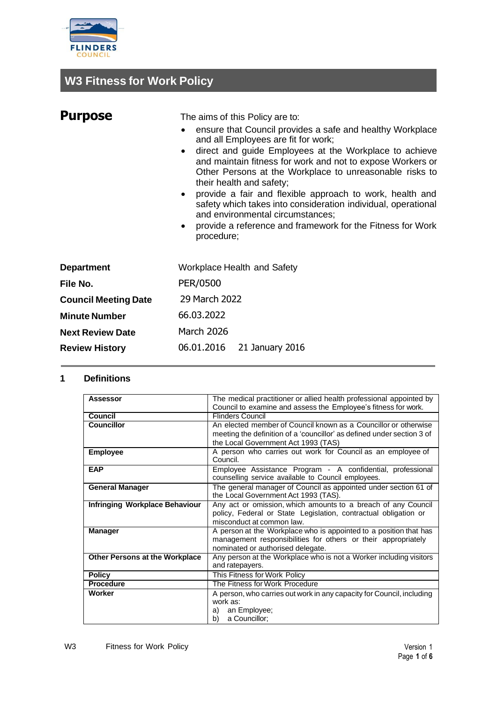

# **W3 Fitness for Work Policy**

| <b>Purpose</b>                | The aims of this Policy are to:                                                                                                                                                                                                                                                                                                                                                                                                                                                                                                                                                                     |
|-------------------------------|-----------------------------------------------------------------------------------------------------------------------------------------------------------------------------------------------------------------------------------------------------------------------------------------------------------------------------------------------------------------------------------------------------------------------------------------------------------------------------------------------------------------------------------------------------------------------------------------------------|
|                               | ensure that Council provides a safe and healthy Workplace<br>and all Employees are fit for work;<br>direct and guide Employees at the Workplace to achieve<br>$\bullet$<br>and maintain fitness for work and not to expose Workers or<br>Other Persons at the Workplace to unreasonable risks to<br>their health and safety;<br>provide a fair and flexible approach to work, health and<br>$\bullet$<br>safety which takes into consideration individual, operational<br>and environmental circumstances;<br>provide a reference and framework for the Fitness for Work<br>$\bullet$<br>procedure; |
| <b>Department</b><br>File No. | <b>Workplace Health and Safety</b><br>PER/0500                                                                                                                                                                                                                                                                                                                                                                                                                                                                                                                                                      |
| <b>Council Meeting Date</b>   | 29 March 2022                                                                                                                                                                                                                                                                                                                                                                                                                                                                                                                                                                                       |
| <b>Minute Number</b>          | 66.03.2022                                                                                                                                                                                                                                                                                                                                                                                                                                                                                                                                                                                          |
| <b>Next Review Date</b>       | <b>March 2026</b>                                                                                                                                                                                                                                                                                                                                                                                                                                                                                                                                                                                   |

06.01.2016 21 January 2016

### **1 Definitions**

**Review History**

| <b>Assessor</b>                       | The medical practitioner or allied health professional appointed by<br>Council to examine and assess the Employee's fitness for work.                                   |
|---------------------------------------|-------------------------------------------------------------------------------------------------------------------------------------------------------------------------|
| Council                               | <b>Flinders Council</b>                                                                                                                                                 |
| <b>Councillor</b>                     | An elected member of Council known as a Councillor or otherwise<br>meeting the definition of a 'councillor' as defined under section 3 of                               |
|                                       | the Local Government Act 1993 (TAS)                                                                                                                                     |
| <b>Employee</b>                       | A person who carries out work for Council as an employee of<br>Council.                                                                                                 |
| <b>EAP</b>                            | Employee Assistance Program - A confidential, professional<br>counselling service available to Council employees.                                                       |
| <b>General Manager</b>                | The general manager of Council as appointed under section 61 of<br>the Local Government Act 1993 (TAS).                                                                 |
| Infringing Workplace Behaviour        | Any act or omission, which amounts to a breach of any Council<br>policy, Federal or State Legislation, contractual obligation or<br>misconduct at common law.           |
| <b>Manager</b>                        | A person at the Workplace who is appointed to a position that has<br>management responsibilities for others or their appropriately<br>nominated or authorised delegate. |
| <b>Other Persons at the Workplace</b> | Any person at the Workplace who is not a Worker including visitors<br>and ratepayers.                                                                                   |
| <b>Policy</b>                         | This Fitness for Work Policy                                                                                                                                            |
| <b>Procedure</b>                      | The Fitness for Work Procedure                                                                                                                                          |
| Worker                                | A person, who carries out work in any capacity for Council, including<br>work as:<br>an Employee;<br>a)<br>a Councillor;<br>b)                                          |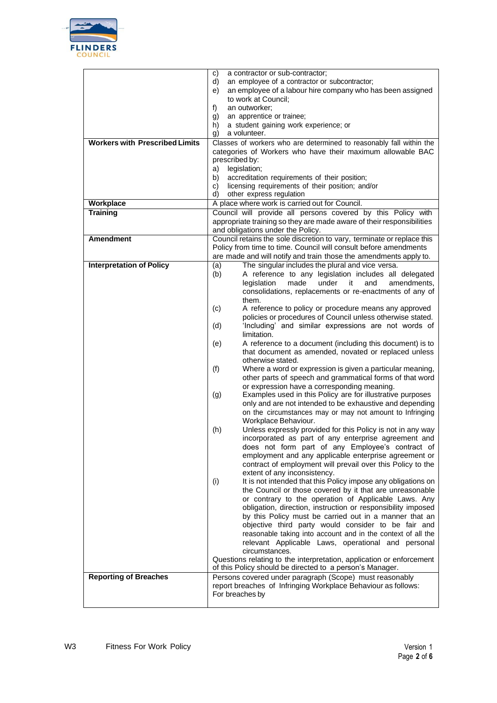

|                                       | a contractor or sub-contractor;<br>C)                                                                                    |
|---------------------------------------|--------------------------------------------------------------------------------------------------------------------------|
|                                       | d)<br>an employee of a contractor or subcontractor;                                                                      |
|                                       | an employee of a labour hire company who has been assigned<br>e)                                                         |
|                                       | to work at Council;                                                                                                      |
|                                       | an outworker:<br>f)                                                                                                      |
|                                       | an apprentice or trainee;<br>g)                                                                                          |
|                                       | a student gaining work experience; or<br>h)                                                                              |
|                                       | a volunteer.<br>g)                                                                                                       |
| <b>Workers with Prescribed Limits</b> | Classes of workers who are determined to reasonably fall within the                                                      |
|                                       | categories of Workers who have their maximum allowable BAC                                                               |
|                                       | prescribed by:                                                                                                           |
|                                       | legislation;<br>a)                                                                                                       |
|                                       | accreditation requirements of their position;<br>b)                                                                      |
|                                       | licensing requirements of their position; and/or<br>C)<br>d)                                                             |
| Workplace                             | other express regulation<br>A place where work is carried out for Council.                                               |
| <b>Training</b>                       | Council will provide all persons covered by this Policy with                                                             |
|                                       | appropriate training so they are made aware of their responsibilities                                                    |
|                                       | and obligations under the Policy.                                                                                        |
| <b>Amendment</b>                      | Council retains the sole discretion to vary, terminate or replace this                                                   |
|                                       | Policy from time to time. Council will consult before amendments                                                         |
|                                       | are made and will notify and train those the amendments apply to.                                                        |
| <b>Interpretation of Policy</b>       | The singular includes the plural and vice versa.<br>(a)                                                                  |
|                                       | A reference to any legislation includes all delegated<br>(b)                                                             |
|                                       | legislation<br>made<br>under<br>it<br>and<br>amendments,                                                                 |
|                                       | consolidations, replacements or re-enactments of any of                                                                  |
|                                       | them.                                                                                                                    |
|                                       | A reference to policy or procedure means any approved<br>(c)                                                             |
|                                       | policies or procedures of Council unless otherwise stated.                                                               |
|                                       | 'Including' and similar expressions are not words of<br>(d)<br>limitation.                                               |
|                                       |                                                                                                                          |
|                                       | A reference to a document (including this document) is to<br>(e)<br>that document as amended, novated or replaced unless |
|                                       | otherwise stated.                                                                                                        |
|                                       | (f)<br>Where a word or expression is given a particular meaning,                                                         |
|                                       | other parts of speech and grammatical forms of that word                                                                 |
|                                       | or expression have a corresponding meaning.                                                                              |
|                                       | Examples used in this Policy are for illustrative purposes<br>(g)                                                        |
|                                       | only and are not intended to be exhaustive and depending                                                                 |
|                                       | on the circumstances may or may not amount to Infringing                                                                 |
|                                       | Workplace Behaviour.                                                                                                     |
|                                       | Unless expressly provided for this Policy is not in any way<br>(h)                                                       |
|                                       | incorporated as part of any enterprise agreement and                                                                     |
|                                       | does not form part of any Employee's contract of                                                                         |
|                                       | employment and any applicable enterprise agreement or                                                                    |
|                                       | contract of employment will prevail over this Policy to the                                                              |
|                                       | extent of any inconsistency.<br>It is not intended that this Policy impose any obligations on<br>(i)                     |
|                                       | the Council or those covered by it that are unreasonable                                                                 |
|                                       | or contrary to the operation of Applicable Laws. Any                                                                     |
|                                       | obligation, direction, instruction or responsibility imposed                                                             |
|                                       | by this Policy must be carried out in a manner that an                                                                   |
|                                       | objective third party would consider to be fair and                                                                      |
|                                       | reasonable taking into account and in the context of all the                                                             |
|                                       | relevant Applicable Laws, operational and personal                                                                       |
|                                       | circumstances.                                                                                                           |
|                                       | Questions relating to the interpretation, application or enforcement                                                     |
|                                       | of this Policy should be directed to a person's Manager.                                                                 |
| <b>Reporting of Breaches</b>          | Persons covered under paragraph (Scope) must reasonably                                                                  |
|                                       | report breaches of Infringing Workplace Behaviour as follows:<br>For breaches by                                         |
|                                       |                                                                                                                          |
|                                       |                                                                                                                          |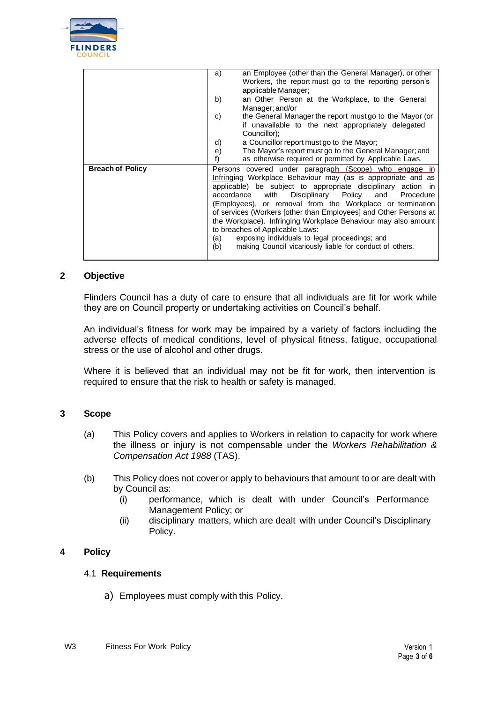

|                         | an Employee (other than the General Manager), or other<br>a)<br>Workers, the report must go to the reporting person's |
|-------------------------|-----------------------------------------------------------------------------------------------------------------------|
|                         | applicable Manager;                                                                                                   |
|                         |                                                                                                                       |
|                         | an Other Person at the Workplace, to the General<br>b)                                                                |
|                         | Manager; and/or                                                                                                       |
|                         | the General Manager the report must go to the Mayor (or<br>C)                                                         |
|                         | if unavailable to the next appropriately delegated                                                                    |
|                         | Councillor);                                                                                                          |
|                         | a Councillor report must go to the Mayor;<br>d)                                                                       |
|                         | The Mayor's report must go to the General Manager; and<br>e)                                                          |
|                         | as otherwise required or permitted by Applicable Laws.<br>f)                                                          |
| <b>Breach of Policy</b> | Persons covered under paragraph (Scope) who engage in                                                                 |
|                         | Infringing Workplace Behaviour may (as is appropriate and as                                                          |
|                         | applicable) be subject to appropriate disciplinary action in                                                          |
|                         | accordance with Disciplinary Policy and Procedure                                                                     |
|                         | (Employees), or removal from the Workplace or termination                                                             |
|                         | of services (Workers [other than Employees] and Other Persons at                                                      |
|                         | the Workplace). Infringing Workplace Behaviour may also amount                                                        |
|                         | to breaches of Applicable Laws:                                                                                       |
|                         | exposing individuals to legal proceedings; and<br>(a)                                                                 |
|                         |                                                                                                                       |
|                         | making Council vicariously liable for conduct of others.<br>(b)                                                       |
|                         |                                                                                                                       |

#### **2 Objective**

Flinders Council has a duty of care to ensure that all individuals are fit for work while they are on Council property or undertaking activities on Council's behalf.

An individual's fitness for work may be impaired by a variety of factors including the adverse effects of medical conditions, level of physical fitness, fatigue, occupational stress or the use of alcohol and other drugs.

Where it is believed that an individual may not be fit for work, then intervention is required to ensure that the risk to health or safety is managed.

#### **3 Scope**

- (a) This Policy covers and applies to Workers in relation to capacity for work where the illness or injury is not compensable under the *Workers Rehabilitation & Compensation Act 1988* (TAS).
- (b) This Policy does not cover or apply to behaviours that amount to or are dealt with by Council as:
	- (i) performance, which is dealt with under Council's Performance Management Policy; or
	- (ii) disciplinary matters, which are dealt with under Council's Disciplinary Policy.

#### **4 Policy**

#### 4.1 **Requirements**

a) Employees must comply with this Policy.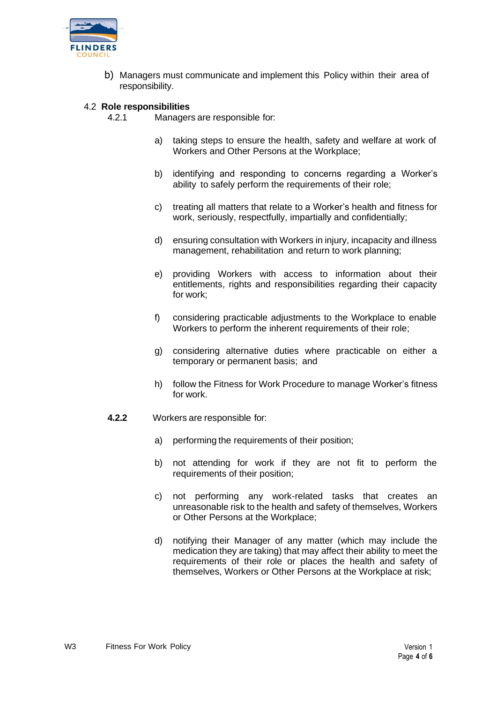

b) Managers must communicate and implement this Policy within their area of responsibility.

#### 4.2 **Role responsibilities**

4.2.1 Managers are responsible for:

- a) taking steps to ensure the health, safety and welfare at work of Workers and Other Persons at the Workplace;
- b) identifying and responding to concerns regarding a Worker's ability to safely perform the requirements of their role;
- c) treating all matters that relate to a Worker's health and fitness for work, seriously, respectfully, impartially and confidentially;
- d) ensuring consultation with Workers in injury, incapacity and illness management, rehabilitation and return to work planning;
- e) providing Workers with access to information about their entitlements, rights and responsibilities regarding their capacity for work;
- f) considering practicable adjustments to the Workplace to enable Workers to perform the inherent requirements of their role;
- g) considering alternative duties where practicable on either a temporary or permanent basis; and
- h) follow the Fitness for Work Procedure to manage Worker's fitness for work.
- **4.2.2** Workers are responsible for:
	- a) performing the requirements of their position;
	- b) not attending for work if they are not fit to perform the requirements of their position;
	- c) not performing any work-related tasks that creates an unreasonable risk to the health and safety of themselves, Workers or Other Persons at the Workplace;
	- d) notifying their Manager of any matter (which may include the medication they are taking) that may affect their ability to meet the requirements of their role or places the health and safety of themselves, Workers or Other Persons at the Workplace at risk;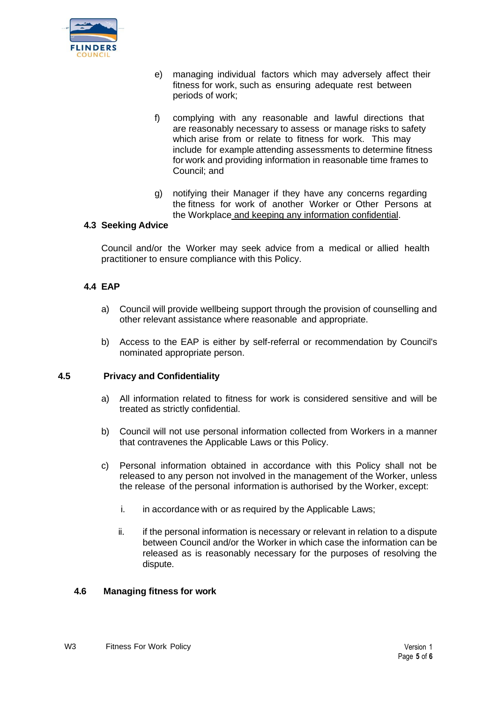

- e) managing individual factors which may adversely affect their fitness for work, such as ensuring adequate rest between periods of work;
- f) complying with any reasonable and lawful directions that are reasonably necessary to assess or manage risks to safety which arise from or relate to fitness for work. This may include for example attending assessments to determine fitness for work and providing information in reasonable time frames to Council; and
- g) notifying their Manager if they have any concerns regarding the fitness for work of another Worker or Other Persons at the Workplace and keeping any information confidential.

#### **4.3 Seeking Advice**

Council and/or the Worker may seek advice from a medical or allied health practitioner to ensure compliance with this Policy.

## **4.4 EAP**

- a) Council will provide wellbeing support through the provision of counselling and other relevant assistance where reasonable and appropriate.
- b) Access to the EAP is either by self-referral or recommendation by Council's nominated appropriate person.

#### **4.5 Privacy and Confidentiality**

- a) All information related to fitness for work is considered sensitive and will be treated as strictly confidential.
- b) Council will not use personal information collected from Workers in a manner that contravenes the Applicable Laws or this Policy.
- c) Personal information obtained in accordance with this Policy shall not be released to any person not involved in the management of the Worker, unless the release of the personal information is authorised by the Worker, except:
	- i. in accordance with or as required by the Applicable Laws;
	- ii. if the personal information is necessary or relevant in relation to a dispute between Council and/or the Worker in which case the information can be released as is reasonably necessary for the purposes of resolving the dispute.

#### **4.6 Managing fitness for work**